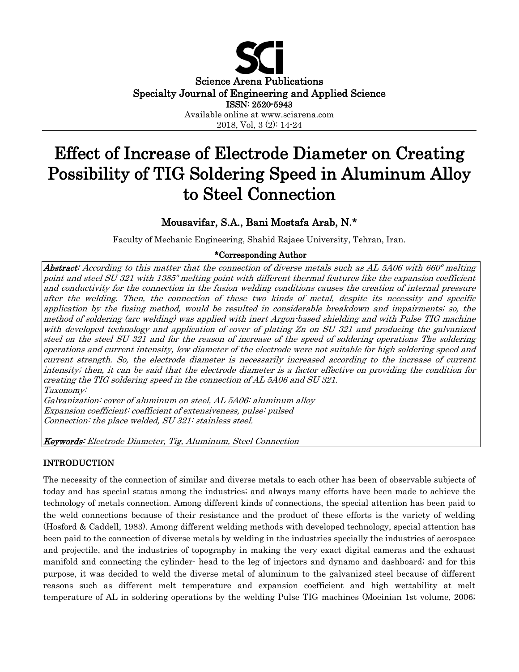

Effect of Increase of Electrode Diameter on Creating Possibility of TIG Soldering Speed in Aluminum Alloy to Steel Connection

# Mousavifar, S.A., Bani Mostafa Arab, N.\*

Faculty of Mechanic Engineering, Shahid Rajaee University, Tehran, Iran.

# \*Corresponding Author

Abstract: According to this matter that the connection of diverse metals such as AL 5A06 with 660<sup>°</sup> melting point and steel SU 321 with 1385º melting point with different thermal features like the expansion coefficient and conductivity for the connection in the fusion welding conditions causes the creation of internal pressure after the welding. Then, the connection of these two kinds of metal, despite its necessity and specific application by the fusing method, would be resulted in considerable breakdown and impairments; so, the method of soldering (arc welding) was applied with inert Argon-based shielding and with Pulse TIG machine with developed technology and application of cover of plating Zn on SU 321 and producing the galvanized steel on the steel SU 321 and for the reason of increase of the speed of soldering operations The soldering operations and current intensity, low diameter of the electrode were not suitable for high soldering speed and current strength. So, the electrode diameter is necessarily increased according to the increase of current intensity; then, it can be said that the electrode diameter is a factor effective on providing the condition for creating the TIG soldering speed in the connection of AL 5A06 and SU 321. Taxonomy:

Galvanization: cover of aluminum on steel, AL 5A06: aluminum alloy Expansion coefficient: coefficient of extensiveness, pulse: pulsed Connection: the place welded, SU 321: stainless steel.

Keywords: Electrode Diameter, Tig, Aluminum, Steel Connection

# INTRODUCTION

The necessity of the connection of similar and diverse metals to each other has been of observable subjects of today and has special status among the industries; and always many efforts have been made to achieve the technology of metals connection. Among different kinds of connections, the special attention has been paid to the weld connections because of their resistance and the product of these efforts is the variety of welding (Hosford & Caddell, 1983). Among different welding methods with developed technology, special attention has been paid to the connection of diverse metals by welding in the industries specially the industries of aerospace and projectile, and the industries of topography in making the very exact digital cameras and the exhaust manifold and connecting the cylinder- head to the leg of injectors and dynamo and dashboard; and for this purpose, it was decided to weld the diverse metal of aluminum to the galvanized steel because of different reasons such as different melt temperature and expansion coefficient and high wettability at melt temperature of AL in soldering operations by the welding Pulse TIG machines (Moeinian 1st volume, 2006;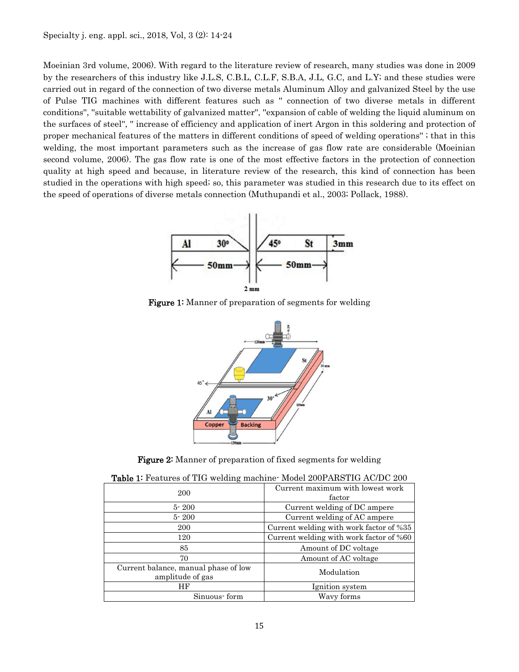Moeinian 3rd volume, 2006). With regard to the literature review of research, many studies was done in 2009 by the researchers of this industry like J.L.S, C.B.L, C.L.F, S.B.A, J.L, G.C, and L.Y; and these studies were carried out in regard of the connection of two diverse metals Aluminum Alloy and galvanized Steel by the use of Pulse TIG machines with different features such as '' connection of two diverse metals in different conditions'', ''suitable wettability of galvanized matter'', ''expansion of cable of welding the liquid aluminum on the surfaces of steel'', '' increase of efficiency and application of inert Argon in this soldering and protection of proper mechanical features of the matters in different conditions of speed of welding operations'' ; that in this welding, the most important parameters such as the increase of gas flow rate are considerable (Moeinian second volume, 2006). The gas flow rate is one of the most effective factors in the protection of connection quality at high speed and because, in literature review of the research, this kind of connection has been studied in the operations with high speed; so, this parameter was studied in this research due to its effect on the speed of operations of diverse metals connection (Muthupandi et al., 2003; Pollack, 1988).



Figure 1: Manner of preparation of segments for welding



Figure 2: Manner of preparation of fixed segments for welding

| <b>Table 1:</b> Features of TIG welding machine: Model 200PARSTIG AC/DC 200 |                                         |  |  |
|-----------------------------------------------------------------------------|-----------------------------------------|--|--|
| <b>200</b>                                                                  | Current maximum with lowest work        |  |  |
|                                                                             | factor                                  |  |  |
| $5 - 200$                                                                   | Current welding of DC ampere            |  |  |
| $5 - 200$                                                                   | Current welding of AC ampere            |  |  |
| 200                                                                         | Current welding with work factor of %35 |  |  |
| 120                                                                         | Current welding with work factor of %60 |  |  |
| 85                                                                          | Amount of DC voltage                    |  |  |
| 70                                                                          | Amount of AC voltage                    |  |  |
| Current balance, manual phase of low                                        | Modulation                              |  |  |
| amplitude of gas                                                            |                                         |  |  |
| ΗF                                                                          | Ignition system                         |  |  |
| Sinuous form                                                                | Wavy forms                              |  |  |

Table 1: Features of TIG welding machine- Model 200PARSTIG AC/DC 200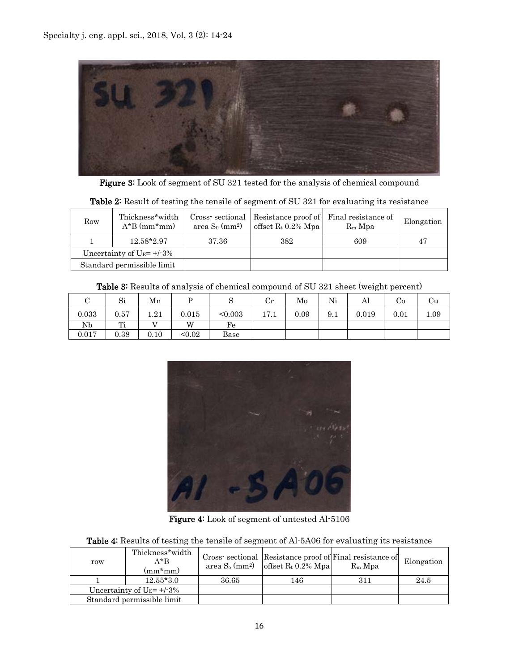

Figure 3: Look of segment of SU 321 tested for the analysis of chemical compound

| Row                          | Thickness*width<br>$A*B$ (mm*mm) | Cross sectional<br>area $S_0$ (mm <sup>2</sup> ) | offset $R_t$ 0.2% Mpa | Resistance proof of Final resistance of<br>$R_m$ Mpa | Elongation |
|------------------------------|----------------------------------|--------------------------------------------------|-----------------------|------------------------------------------------------|------------|
|                              | 12.58*2.97                       | 37.36                                            | 382                   | 609                                                  | 47         |
| Uncertainty of $U_E$ = +/-3% |                                  |                                                  |                       |                                                      |            |
|                              | Standard permissible limit       |                                                  |                       |                                                      |            |

Table 2: Result of testing the tensile of segment of SU 321 for evaluating its resistance

### Table 3: Results of analysis of chemical compound of SU 321 sheet (weight percent)

|       | Si   | Mn        |        | ັ       | $_{\rm Cr}$ | Mo   | Ni  | Al    | Co   | ∪u   |
|-------|------|-----------|--------|---------|-------------|------|-----|-------|------|------|
| 0.033 | 0.57 | $_{1.21}$ | 0.015  | < 0.003 | 17.1        | 0.09 | 9.1 | 0.019 | 0.01 | 1.09 |
| Nb    | Ti   |           | W      | Fe      |             |      |     |       |      |      |
| 0.017 | 0.38 | $_{0.10}$ | < 0.02 | Base    |             |      |     |       |      |      |



Figure 4: Look of segment of untested Al-5106

Table 4: Results of testing the tensile of segment of Al-5A06 for evaluating its resistance

| row | Thickness*width<br>A*B<br>$\text{(mm*mm)}$ |       | Cross sectional Resistance proof of Final resistance of<br>area $S_0$ (mm <sup>2</sup> )   offset $R_t$ 0.2% Mpa | $R_m$ Mpa | Elongation |
|-----|--------------------------------------------|-------|------------------------------------------------------------------------------------------------------------------|-----------|------------|
|     | $12.55*3.0$                                | 36.65 | 146                                                                                                              | 311       | 24.5       |
|     | Uncertainty of $U_E$ = +/-3%               |       |                                                                                                                  |           |            |
|     | Standard permissible limit                 |       |                                                                                                                  |           |            |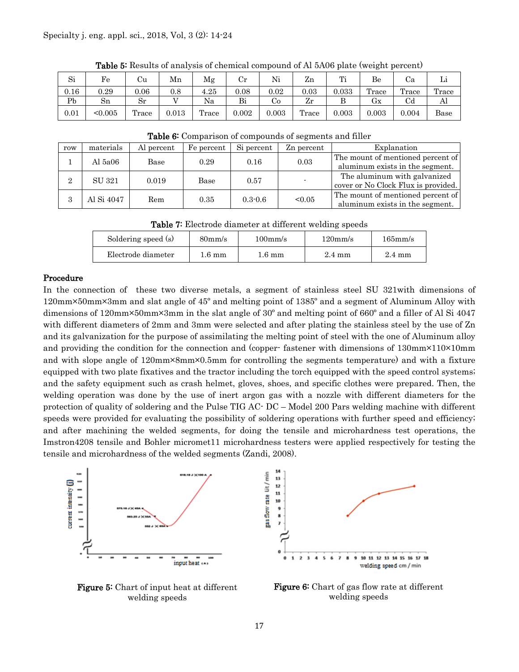| Si   | Fe      | Сu      | Mn    | Mg    | ∪r          | Ni    | Zn    | $\mathbf{m}$ | Be    | Uа               | ы     |
|------|---------|---------|-------|-------|-------------|-------|-------|--------------|-------|------------------|-------|
| 0.16 | 0.29    | 0.06    | 0.8   | 4.25  | 0.08        | 0.02  | 0.03  | 0.033        | Trace | Trace            | Trace |
| Pb   | Sn      | $S_{r}$ | - -   | Na    | Bi          | ÜΟ    | Zr    |              | Gx    | $_{\mathrm{Cd}}$ | Al    |
| 0.01 | < 0.005 | Trace   | 0.013 | Trace | $\rm 0.002$ | 0.003 | Trace | 0.003        | 0.003 | 0.004            | Base  |

Table 5: Results of analysis of chemical compound of Al 5A06 plate (weight percent)

| row | materials     | Al percent | Fe percent                    | Si percent | Zn percent                      | Explanation                         |  |  |  |  |
|-----|---------------|------------|-------------------------------|------------|---------------------------------|-------------------------------------|--|--|--|--|
|     | Al 5a06       | Base       | 0.29                          | 0.16       |                                 | The mount of mentioned percent of   |  |  |  |  |
|     |               |            |                               |            | 0.03                            | aluminum exists in the segment.     |  |  |  |  |
|     | <b>SU 321</b> |            |                               | 0.57       |                                 | The aluminum with galvanized        |  |  |  |  |
| 2   |               | 0.019      | Base                          |            |                                 | cover or No Clock Flux is provided. |  |  |  |  |
|     | Al Si 4047    |            |                               |            |                                 | The mount of mentioned percent of   |  |  |  |  |
|     |               | Rem        | < 0.05<br>$0.3 - 0.6$<br>0.35 |            | aluminum exists in the segment. |                                     |  |  |  |  |

Table 6: Comparison of compounds of segments and filler

Table 7: Electrode diameter at different welding speeds

| Soldering speed (s) | $80 \text{mm/s}$ | $100 \text{mm/s}$ | $120$ mm/s       | $165$ mm/s       |
|---------------------|------------------|-------------------|------------------|------------------|
| Electrode diameter  | 1.6 mm           | $1.6~\mathrm{mm}$ | $2.4 \text{ mm}$ | $2.4 \text{ mm}$ |

#### Procedure

In the connection of these two diverse metals, a segment of stainless steel SU 321with dimensions of 120mm×50mm×3mm and slat angle of 45º and melting point of 1385º and a segment of Aluminum Alloy with dimensions of 120mm×50mm×3mm in the slat angle of 30º and melting point of 660º and a filler of Al Si 4047 with different diameters of 2mm and 3mm were selected and after plating the stainless steel by the use of Zn and its galvanization for the purpose of assimilating the melting point of steel with the one of Aluminum alloy and providing the condition for the connection and (copper- fastener with dimensions of 130mm×110×10mm and with slope angle of 120mm×8mm×0.5mm for controlling the segments temperature) and with a fixture equipped with two plate fixatives and the tractor including the torch equipped with the speed control systems; and the safety equipment such as crash helmet, gloves, shoes, and specific clothes were prepared. Then, the welding operation was done by the use of inert argon gas with a nozzle with different diameters for the protection of quality of soldering and the Pulse TIG AC- DC – Model 200 Pars welding machine with different speeds were provided for evaluating the possibility of soldering operations with further speed and efficiency; and after machining the welded segments, for doing the tensile and microhardness test operations, the Imstron4208 tensile and Bohler micromet11 microhardness testers were applied respectively for testing the tensile and microhardness of the welded segments (Zandi, 2008).



Figure 5: Chart of input heat at different welding speeds



Figure 6: Chart of gas flow rate at different welding speeds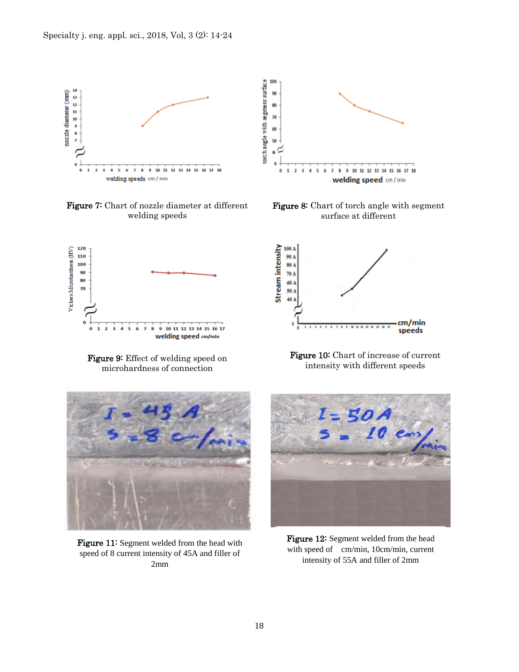

Figure 7: Chart of nozzle diameter at different welding speeds



**Figure 9:** Effect of welding speed on **Figure 10:** Chart of increase of current speeds Figure 10: Chart of intensity with different speeds microhardness of connection



Figure 11: Segment welded from the head with speed of 8 current intensity of 45A and filler of 2mm



Figure 8: Chart of torch angle with segment surface at different



Figure 10: Chart of increase of current



Figure 12: Segment welded from the head with speed of cm/min, 10cm/min, current intensity of 55A and filler of 2mm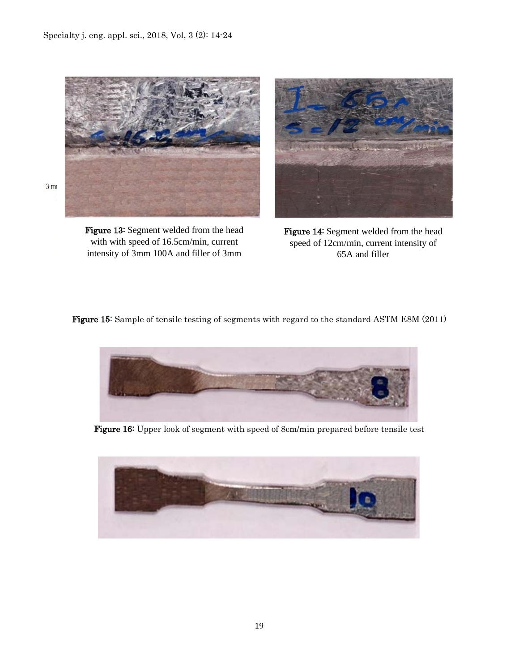

Figure 13: Segment welded from the head with with speed of 16.5cm/min, current intensity of 3mm 100A and filler of 3mm



Figure 14: Segment welded from the head speed of 12cm/min, current intensity of 65A and filler

Figure 15: Sample of tensile testing of segments with regard to the standard ASTM E8M (2011)



Figure 16: Upper look of segment with speed of 8cm/min prepared before tensile test

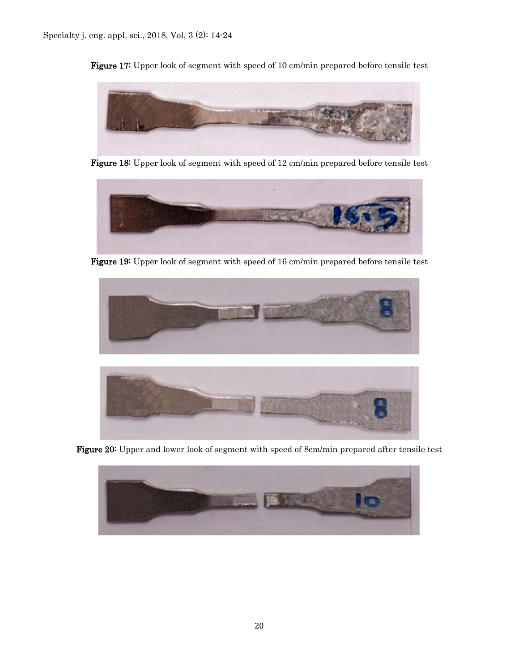Figure 17: Upper look of segment with speed of 10 cm/min prepared before tensile test



Figure 18: Upper look of segment with speed of 12 cm/min prepared before tensile test



Figure 19: Upper look of segment with speed of 16 cm/min prepared before tensile test





Figure 20: Upper and lower look of segment with speed of 8cm/min prepared after tensile test

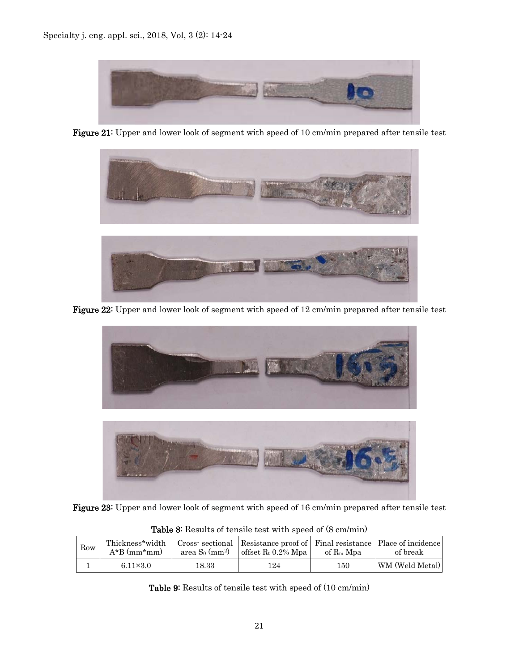

Figure 21: Upper and lower look of segment with speed of 10 cm/min prepared after tensile test



Figure 22: Upper and lower look of segment with speed of 12 cm/min prepared after tensile test



Figure 23: Upper and lower look of segment with speed of 16 cm/min prepared after tensile test

|     | $\sim$ 0.000 $\sim$ 1.000 0.000 0.000 0.000 0.000 0.000 0.000 0.000 0.000 0.000 0.000 0.000 0.000 0.000 0.000 0.000 0.000 0.000 0.000 0.000 0.000 0.000 0.000 0.000 0.000 0.000 0.000 0.000 0.000 0.000 0.000 0.000 0.000 0.000 0 |                               |                                                                                                  |                       |                 |  |  |  |  |  |
|-----|-----------------------------------------------------------------------------------------------------------------------------------------------------------------------------------------------------------------------------------|-------------------------------|--------------------------------------------------------------------------------------------------|-----------------------|-----------------|--|--|--|--|--|
| Row | Thickness*width<br>$A*B$ (mm*mm)                                                                                                                                                                                                  | area $S_0$ (mm <sup>2</sup> ) | Cross-sectional Resistance proof of Final resistance Place of incidence<br>offset $R_t$ 0.2% Mpa | of R <sub>m</sub> Mpa | of break        |  |  |  |  |  |
|     | $6.11 \times 3.0$                                                                                                                                                                                                                 | 18.33                         | 124                                                                                              | $150\,$               | WM (Weld Metal) |  |  |  |  |  |

Table 8: Results of tensile test with speed of (8 cm/min)

Table 9: Results of tensile test with speed of (10 cm/min)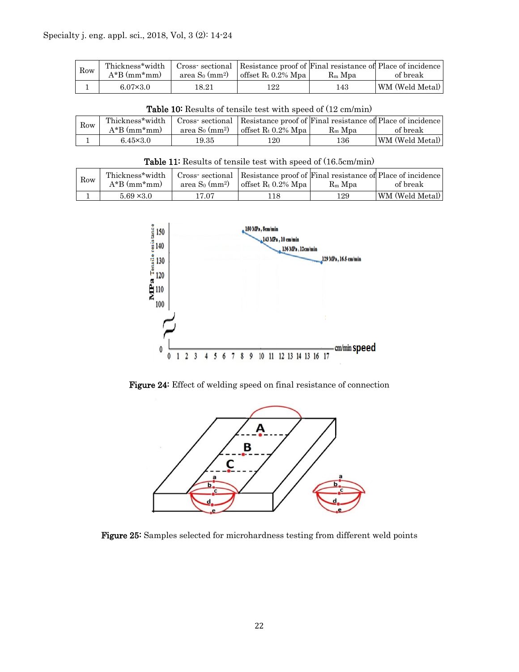| Row | Thickness*width<br>$A*B$ (mm*mm) | area S <sub>0</sub> (mm <sup>2</sup> ) | Cross-sectional Resistance proof of Final resistance of Place of incidence<br>offset $R_t$ 0.2% Mpa | $R_m$ Mpa | of break        |
|-----|----------------------------------|----------------------------------------|-----------------------------------------------------------------------------------------------------|-----------|-----------------|
|     | $6.07\times3.0$                  | 18.21                                  | 122                                                                                                 | 143       | WM (Weld Metal) |

| Row | Thickness*width   |                                        | Cross-sectional Resistance proof of Final resistance of Place of incidence |            |                 |
|-----|-------------------|----------------------------------------|----------------------------------------------------------------------------|------------|-----------------|
|     | $A*B$ (mm*mm)     | area S <sub>0</sub> (mm <sup>2</sup> ) | offset $R_t$ 0.2% Mpa                                                      | $R_m$ Mpa  | of break        |
|     | $6.45 \times 3.0$ | 19.35                                  | .20                                                                        | $^{136}\,$ | WM (Weld Metal) |

Table 11: Results of tensile test with speed of (16.5cm/min)

| Row | $A*B$ (mm*mm)     | area $\rm S_0$ (mm <sup>2</sup> ) | Thickness*width   Cross-sectional   Resistance proof of Final resistance of Place of incidence<br>offset $R_t$ 0.2% Mpa | $R_m$ Mpa | of break        |
|-----|-------------------|-----------------------------------|-------------------------------------------------------------------------------------------------------------------------|-----------|-----------------|
|     | $5.69 \times 3.0$ | 17.07                             | 118                                                                                                                     | 129       | WM (Weld Metal) |



Figure 24: Effect of welding speed on final resistance of connection



Figure 25: Samples selected for microhardness testing from different weld points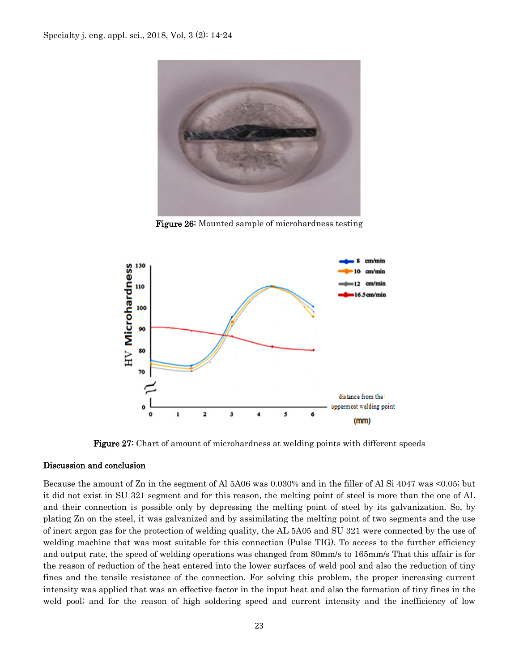

Figure 26: Mounted sample of microhardness testing



**Figure 27:** Chart of amount of microhardness at welding points with different speeds

#### Discussion and conclusion

Because the amount of Zn in the segment of Al 5A06 was 0.030% and in the filler of Al Si 4047 was <0.05; but it did not exist in SU 321 segment and for this reason, the melting point of steel is more than the one of AL and their connection is possible only by depressing the melting point of steel by its galvanization. So, by plating Zn on the steel, it was galvanized and by assimilating the melting point of two segments and the use of inert argon gas for the protection of welding quality, the AL 5A05 and SU 321 were connected by the use of welding machine that was most suitable for this connection (Pulse TIG). To access to the further efficiency and output rate, the speed of welding operations was changed from 80mm/s to 165mm/s That this affair is for the reason of reduction of the heat entered into the lower surfaces of weld pool and also the reduction of tiny fines and the tensile resistance of the connection. For solving this problem, the proper increasing current intensity was applied that was an effective factor in the input heat and also the formation of tiny fines in the weld pool; and for the reason of high soldering speed and current intensity and the inefficiency of low